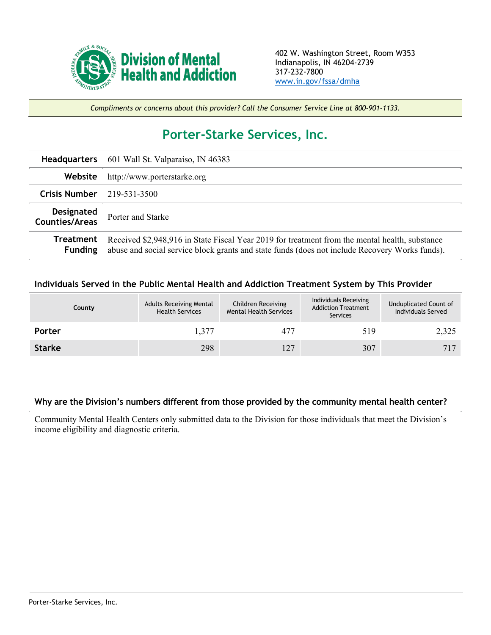

*Compliments or concerns about this provider? Call the Consumer Service Line at 800-901-1133.*

## **Porter-Starke Services, Inc.**

|                                     | <b>Headquarters</b> 601 Wall St. Valparaiso, IN 46383                                                                                                                                            |  |  |  |  |
|-------------------------------------|--------------------------------------------------------------------------------------------------------------------------------------------------------------------------------------------------|--|--|--|--|
| Website                             | http://www.porterstarke.org                                                                                                                                                                      |  |  |  |  |
| Crisis Number $219-531-3500$        |                                                                                                                                                                                                  |  |  |  |  |
| Designated<br><b>Counties/Areas</b> | Porter and Starke                                                                                                                                                                                |  |  |  |  |
| Treatment<br><b>Funding</b>         | Received \$2,948,916 in State Fiscal Year 2019 for treatment from the mental health, substance<br>abuse and social service block grants and state funds (does not include Recovery Works funds). |  |  |  |  |

**Individuals Served in the Public Mental Health and Addiction Treatment System by This Provider**

|               | County | <b>Adults Receiving Mental</b><br><b>Health Services</b> | Children Receiving<br><b>Mental Health Services</b> | Individuals Receiving<br><b>Addiction Treatment</b><br>Services | Unduplicated Count of<br>Individuals Served |
|---------------|--------|----------------------------------------------------------|-----------------------------------------------------|-----------------------------------------------------------------|---------------------------------------------|
| Porter        |        | 1,377                                                    | 477                                                 | 519                                                             | 2,325                                       |
| <b>Starke</b> |        | 298                                                      | 127                                                 | 307                                                             | 717                                         |

## **Why are the Division's numbers different from those provided by the community mental health center?**

Community Mental Health Centers only submitted data to the Division for those individuals that meet the Division's income eligibility and diagnostic criteria.